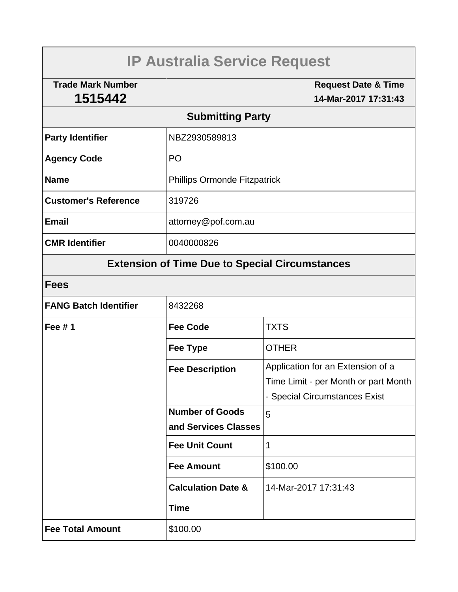# **IP Australia Service Request**

**Trade Mark Number 1515442**

**Request Date & Time 14-Mar-2017 17:31:43**

## **Submitting Party**

| <b>Party Identifier</b>     | NBZ2930589813                       |  |
|-----------------------------|-------------------------------------|--|
| <b>Agency Code</b>          | P <sub>O</sub>                      |  |
| <b>Name</b>                 | <b>Phillips Ormonde Fitzpatrick</b> |  |
| <b>Customer's Reference</b> | 319726                              |  |
| <b>Email</b>                | attorney@pof.com.au                 |  |
| <b>CMR Identifier</b>       | 0040000826                          |  |

## **Extension of Time Due to Special Circumstances**

| <b>FANG Batch Identifier</b> | 8432268                       |                                      |  |
|------------------------------|-------------------------------|--------------------------------------|--|
| Fee $# 1$                    | <b>Fee Code</b>               | <b>TXTS</b>                          |  |
|                              | Fee Type                      | <b>OTHER</b>                         |  |
|                              | <b>Fee Description</b>        | Application for an Extension of a    |  |
|                              |                               | Time Limit - per Month or part Month |  |
|                              |                               | - Special Circumstances Exist        |  |
|                              | <b>Number of Goods</b>        | 5                                    |  |
|                              | and Services Classes          |                                      |  |
|                              | <b>Fee Unit Count</b>         | 1                                    |  |
|                              | <b>Fee Amount</b>             | \$100.00                             |  |
|                              | <b>Calculation Date &amp;</b> | 14-Mar-2017 17:31:43                 |  |
|                              | <b>Time</b>                   |                                      |  |
| <b>Fee Total Amount</b>      | \$100.00                      |                                      |  |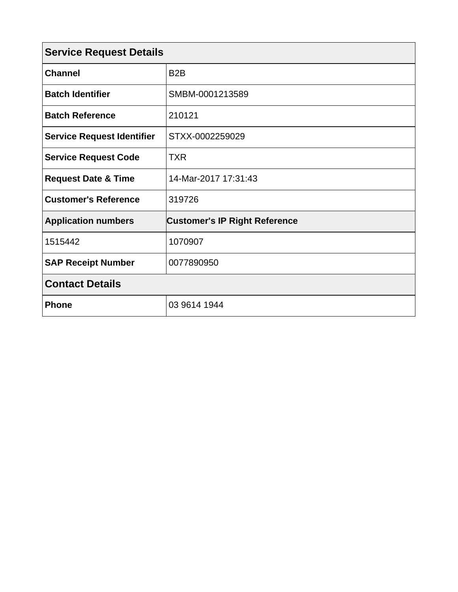| <b>Service Request Details</b>    |                                      |  |  |
|-----------------------------------|--------------------------------------|--|--|
| <b>Channel</b>                    | B <sub>2</sub> B                     |  |  |
| <b>Batch Identifier</b>           | SMBM-0001213589                      |  |  |
| <b>Batch Reference</b>            | 210121                               |  |  |
| <b>Service Request Identifier</b> | STXX-0002259029                      |  |  |
| <b>Service Request Code</b>       | <b>TXR</b>                           |  |  |
| <b>Request Date &amp; Time</b>    | 14-Mar-2017 17:31:43                 |  |  |
| <b>Customer's Reference</b>       | 319726                               |  |  |
| <b>Application numbers</b>        | <b>Customer's IP Right Reference</b> |  |  |
| 1515442                           | 1070907                              |  |  |
| <b>SAP Receipt Number</b>         | 0077890950                           |  |  |
| <b>Contact Details</b>            |                                      |  |  |
| <b>Phone</b>                      | 03 9614 1944                         |  |  |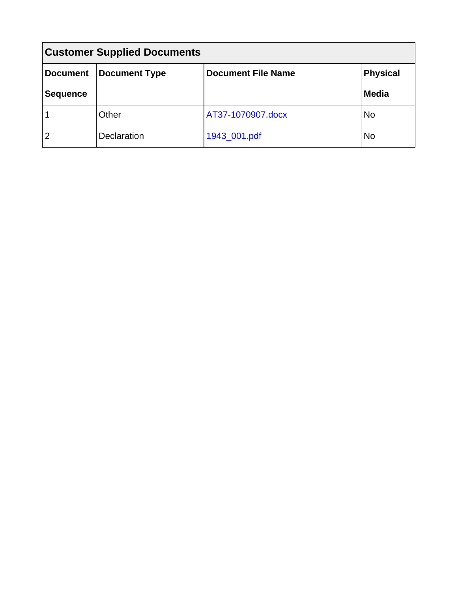| <b>Customer Supplied Documents</b> |                      |                           |                 |  |  |
|------------------------------------|----------------------|---------------------------|-----------------|--|--|
| <b>Document</b>                    | <b>Document Type</b> | <b>Document File Name</b> | <b>Physical</b> |  |  |
| <b>Sequence</b>                    |                      |                           | <b>Media</b>    |  |  |
|                                    | Other                | AT37-1070907.docx         | <b>No</b>       |  |  |
| $\overline{2}$                     | Declaration          | 1943_001.pdf              | No              |  |  |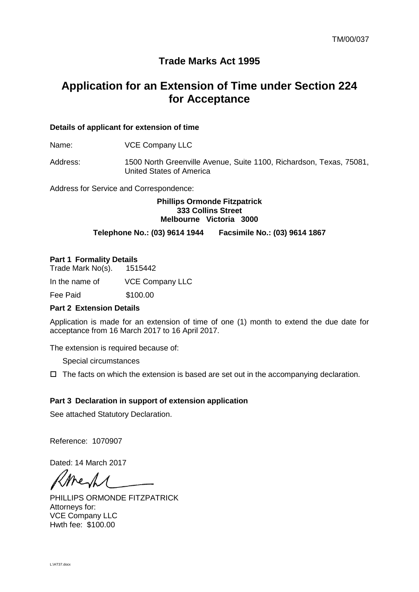### **Trade Marks Act 1995**

## **Application for an Extension of Time under Section 224 for Acceptance**

#### **Details of applicant for extension of time**

Name: **VCE Company LLC** 

Address: 1500 North Greenville Avenue, Suite 1100, Richardson, Texas, 75081, United States of America

Address for Service and Correspondence:

#### **Phillips Ormonde Fitzpatrick 333 Collins Street Melbourne Victoria 3000**

#### **Telephone No.: (03) 9614 1944 Facsimile No.: (03) 9614 1867**

#### **Part 1 Formality Details**

Trade Mark No(s). 1515442

In the name of VCE Company LLC

Fee Paid \$100.00

#### **Part 2 Extension Details**

Application is made for an extension of time of one (1) month to extend the due date for acceptance from 16 March 2017 to 16 April 2017.

The extension is required because of:

Special circumstances

 $\Box$  The facts on which the extension is based are set out in the accompanying declaration.

#### **Part 3 Declaration in support of extension application**

See attached Statutory Declaration.

Reference: 1070907

Dated: 14 March 2017

he.

PHILLIPS ORMONDE FITZPATRICK Attorneys for: VCE Company LLC Hwth fee: \$100.00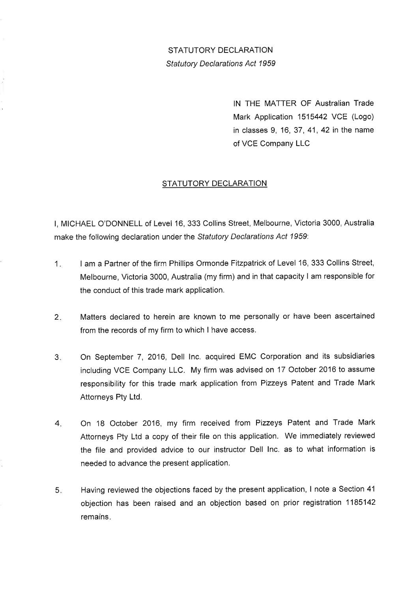STATUTORY DECLARATION Statutory Declarations Act 1959

> lN THE MATTER OF Australian Trade Mark Application 1515442 VCE (Logo) in classes 9, 16, 37, 41, 42 in the name of VCE Company LLC

#### STATUTORY DECLARATION

l, MICHAEL O'DONNELL of Level 16, 333 Collins Street, Melbourne, Victoria 3000, Australia make the following declaration under the Statutory Declarations Act 1959:

- $1<sub>n</sub>$ I am a Partner of the firm Phillips Ormonde Fitzpatrick of Level 16, 333 Collins Street, Melbourne, Victoria 3000, Australia (my firm) and in that capacity I am responsible for the conduct of this trade mark application.
- Matters declared to herein are known to me personally or have been ascertained from the records of my firm to which I have access.  $2.$
- On September 7, 2016, Dell lnc. acquired EMC Corporation and its subsidiaries including VCE Company LLC. My firm was advised on 17 October 2016 to assume responsibility for this trade mark application from Pizzeys Patent and Trade Mark Attorneys Pty Ltd.  $3<sub>ii</sub>$
- On 18 October 2016, my firm received from Pizzeys Patent and Trade Mark Attorneys Pty Ltd a copy of their file on this application. We immediately reviewed the file and provided advice to our instructor Dell lnc. as to what information is needed to advance the present application. 4
- Having reviewed the objections faced by the present application, I note a Section 41 objection has been raised and an objection based on prior registration 1185142 5 remains.